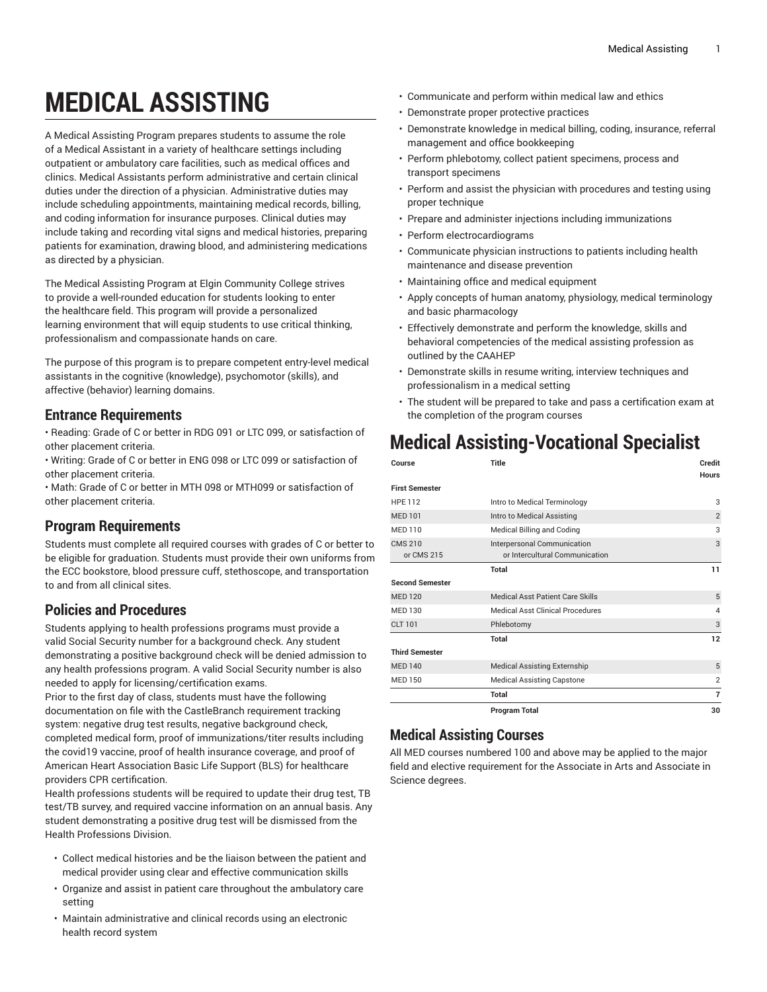# **MEDICAL ASSISTING**

A Medical Assisting Program prepares students to assume the role of a Medical Assistant in a variety of healthcare settings including outpatient or ambulatory care facilities, such as medical offices and clinics. Medical Assistants perform administrative and certain clinical duties under the direction of a physician. Administrative duties may include scheduling appointments, maintaining medical records, billing, and coding information for insurance purposes. Clinical duties may include taking and recording vital signs and medical histories, preparing patients for examination, drawing blood, and administering medications as directed by a physician.

The Medical Assisting Program at Elgin Community College strives to provide a well-rounded education for students looking to enter the healthcare field. This program will provide a personalized learning environment that will equip students to use critical thinking, professionalism and compassionate hands on care.

The purpose of this program is to prepare competent entry-level medical assistants in the cognitive (knowledge), psychomotor (skills), and affective (behavior) learning domains.

### **Entrance Requirements**

- Reading: Grade of C or better in RDG 091 or LTC 099, or satisfaction of other placement criteria.
- Writing: Grade of C or better in ENG 098 or LTC 099 or satisfaction of other placement criteria.
- Math: Grade of C or better in MTH 098 or MTH099 or satisfaction of other placement criteria.

# **Program Requirements**

Students must complete all required courses with grades of C or better to be eligible for graduation. Students must provide their own uniforms from the ECC bookstore, blood pressure cuff, stethoscope, and transportation to and from all clinical sites.

# **Policies and Procedures**

Students applying to health professions programs must provide a valid Social Security number for a background check. Any student demonstrating a positive background check will be denied admission to any health professions program. A valid Social Security number is also needed to apply for licensing/certification exams.

Prior to the first day of class, students must have the following documentation on file with the CastleBranch requirement tracking system: negative drug test results, negative background check, completed medical form, proof of immunizations/titer results including the covid19 vaccine, proof of health insurance coverage, and proof of American Heart Association Basic Life Support (BLS) for healthcare providers CPR certification.

Health professions students will be required to update their drug test, TB test/TB survey, and required vaccine information on an annual basis. Any student demonstrating a positive drug test will be dismissed from the Health Professions Division.

- Collect medical histories and be the liaison between the patient and medical provider using clear and effective communication skills
- Organize and assist in patient care throughout the ambulatory care setting
- Maintain administrative and clinical records using an electronic health record system
- Communicate and perform within medical law and ethics
- Demonstrate proper protective practices
- Demonstrate knowledge in medical billing, coding, insurance, referral management and office bookkeeping
- Perform phlebotomy, collect patient specimens, process and transport specimens
- Perform and assist the physician with procedures and testing using proper technique
- Prepare and administer injections including immunizations
- Perform electrocardiograms
- Communicate physician instructions to patients including health maintenance and disease prevention
- Maintaining office and medical equipment
- Apply concepts of human anatomy, physiology, medical terminology and basic pharmacology
- Effectively demonstrate and perform the knowledge, skills and behavioral competencies of the medical assisting profession as outlined by the CAAHEP
- Demonstrate skills in resume writing, interview techniques and professionalism in a medical setting
- The student will be prepared to take and pass a certification exam at the completion of the program courses

# **Medical Assisting-Vocational Specialist**

| Course                       | Title                                                         | Credit<br><b>Hours</b> |
|------------------------------|---------------------------------------------------------------|------------------------|
| <b>First Semester</b>        |                                                               |                        |
| <b>HPE 112</b>               | Intro to Medical Terminology                                  | 3                      |
| <b>MED 101</b>               | Intro to Medical Assisting                                    | $\overline{2}$         |
| <b>MED 110</b>               | Medical Billing and Coding                                    | 3                      |
| <b>CMS 210</b><br>or CMS 215 | Interpersonal Communication<br>or Intercultural Communication | 3                      |
|                              | Total                                                         | 11                     |
| <b>Second Semester</b>       |                                                               |                        |
| <b>MED 120</b>               | Medical Asst Patient Care Skills                              | 5                      |
| MED 130                      | Medical Asst Clinical Procedures                              | 4                      |
| <b>CLT 101</b>               | Phlebotomy                                                    | 3                      |
|                              | Total                                                         | 12                     |
| <b>Third Semester</b>        |                                                               |                        |
| <b>MED 140</b>               | <b>Medical Assisting Externship</b>                           | 5                      |
| <b>MED 150</b>               | <b>Medical Assisting Capstone</b>                             | $\overline{2}$         |
|                              | Total                                                         | $\overline{7}$         |
|                              | <b>Program Total</b>                                          | 30                     |

## **Medical Assisting Courses**

All MED courses numbered 100 and above may be applied to the major field and elective requirement for the Associate in Arts and Associate in Science degrees.